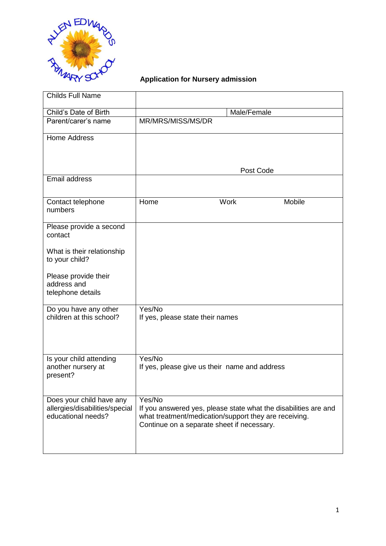

# **Application for Nursery admission**

| <b>Childs Full Name</b>                                                          |                                                                                                                                                                                  |
|----------------------------------------------------------------------------------|----------------------------------------------------------------------------------------------------------------------------------------------------------------------------------|
| Child's Date of Birth                                                            | Male/Female                                                                                                                                                                      |
| Parent/carer's name                                                              | MR/MRS/MISS/MS/DR                                                                                                                                                                |
| <b>Home Address</b>                                                              | Post Code                                                                                                                                                                        |
| Email address                                                                    |                                                                                                                                                                                  |
| Contact telephone<br>numbers                                                     | Mobile<br>Work<br>Home                                                                                                                                                           |
| Please provide a second<br>contact                                               |                                                                                                                                                                                  |
| What is their relationship<br>to your child?                                     |                                                                                                                                                                                  |
| Please provide their<br>address and<br>telephone details                         |                                                                                                                                                                                  |
| Do you have any other<br>children at this school?                                | Yes/No<br>If yes, please state their names                                                                                                                                       |
| Is your child attending<br>another nursery at<br>present?                        | Yes/No<br>If yes, please give us their name and address                                                                                                                          |
| Does your child have any<br>allergies/disabilities/special<br>educational needs? | Yes/No<br>If you answered yes, please state what the disabilities are and<br>what treatment/medication/support they are receiving.<br>Continue on a separate sheet if necessary. |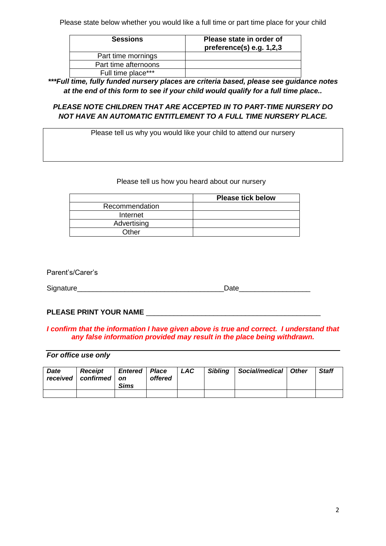Please state below whether you would like a full time or part time place for your child

| <b>Sessions</b>      | Please state in order of<br>preference(s) e.g. 1,2,3 |
|----------------------|------------------------------------------------------|
| Part time mornings   |                                                      |
| Part time afternoons |                                                      |
| Full time place***   |                                                      |

*\*\*\*Full time, fully funded nursery places are criteria based, please see guidance notes at the end of this form to see if your child would qualify for a full time place..* 

# *PLEASE NOTE CHILDREN THAT ARE ACCEPTED IN TO PART-TIME NURSERY DO NOT HAVE AN AUTOMATIC ENTITLEMENT TO A FULL TIME NURSERY PLACE.*

Please tell us why you would like your child to attend our nursery

#### Please tell us how you heard about our nursery

|                | <b>Please tick below</b> |
|----------------|--------------------------|
| Recommendation |                          |
| Internet       |                          |
| Advertising    |                          |
| Other          |                          |

Parent's/Carer's

Signature **Solution Contract Contract Contract Contract Contract Contract Contract Contract Contract Contract Contract Contract Contract Contract Contract Contract Contract Contract Contract Contract Contract Contract Cont** 

### PLEASE PRINT YOUR NAME \_\_\_\_\_\_\_\_\_\_

#### *I confirm that the information I have given above is true and correct. I understand that any false information provided may result in the place being withdrawn.*

## *For office use only*

| Date | <b>Receipt</b><br>received   confirmed   \ | <b>Entered   Place</b><br><b>on</b><br><b>Sims</b> | offered | LAC | Sibling | Social/medical   Other | <b>Staff</b> |
|------|--------------------------------------------|----------------------------------------------------|---------|-----|---------|------------------------|--------------|
|      |                                            |                                                    |         |     |         |                        |              |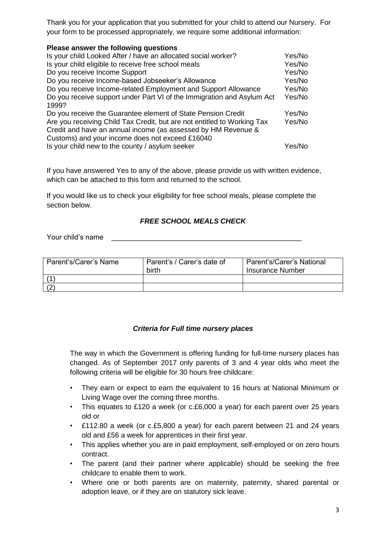Thank you for your application that you submitted for your child to attend our Nursery. For your form to be processed appropriately, we require some additional information:

| Please answer the following questions                                   |        |
|-------------------------------------------------------------------------|--------|
| Is your child Looked After / have an allocated social worker?           | Yes/No |
| Is your child eligible to receive free school meals                     | Yes/No |
| Do you receive Income Support                                           | Yes/No |
| Do you receive Income-based Jobseeker's Allowance                       | Yes/No |
| Do you receive Income-related Employment and Support Allowance          | Yes/No |
| Do you receive support under Part VI of the Immigration and Asylum Act  | Yes/No |
| 1999?                                                                   |        |
| Do you receive the Guarantee element of State Pension Credit            | Yes/No |
| Are you receiving Child Tax Credit, but are not entitled to Working Tax | Yes/No |
| Credit and have an annual income (as assessed by HM Revenue &           |        |
| Customs) and your income does not exceed £16040                         |        |
| Is your child new to the county / asylum seeker                         | Yes/No |

If you have answered Yes to any of the above, please provide us with written evidence, which can be attached to this form and returned to the school.

If you would like us to check your eligibility for free school meals, please complete the section below.

# *FREE SCHOOL MEALS CHECK*

Your child's name

| Parent's/Carer's Name | Parent's / Carer's date of<br>birth | Parent's/Carer's National<br><b>Insurance Number</b> |  |  |
|-----------------------|-------------------------------------|------------------------------------------------------|--|--|
|                       |                                     |                                                      |  |  |
|                       |                                     |                                                      |  |  |

# *Criteria for Full time nursery places*

The way in which the Government is offering funding for full-time nursery places has changed. As of September 2017 only parents of 3 and 4 year olds who meet the following criteria will be eligible for 30 hours free childcare:

- They earn or expect to earn the equivalent to 16 hours at National Minimum or Living Wage over the coming three months.
- This equates to £120 a week (or c.£6,000 a year) for each parent over 25 years old or
- £112.80 a week (or c.£5,800 a year) for each parent between 21 and 24 years old and £56 a week for apprentices in their first year.
- This applies whether you are in paid employment, self-employed or on zero hours contract.
- The parent (and their partner where applicable) should be seeking the free childcare to enable them to work.
- Where one or both parents are on maternity, paternity, shared parental or adoption leave, or if they are on statutory sick leave.